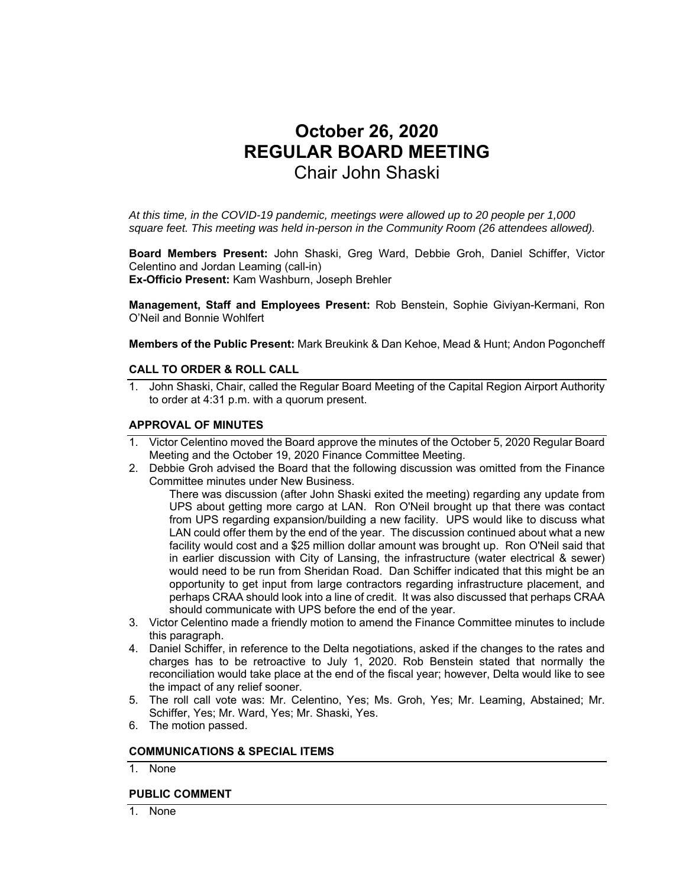# **October 26, 2020 REGULAR BOARD MEETING**  Chair John Shaski

*At this time, in the COVID-19 pandemic, meetings were allowed up to 20 people per 1,000 square feet. This meeting was held in-person in the Community Room (26 attendees allowed).* 

**Board Members Present:** John Shaski, Greg Ward, Debbie Groh, Daniel Schiffer, Victor Celentino and Jordan Leaming (call-in) **Ex-Officio Present:** Kam Washburn, Joseph Brehler

**Management, Staff and Employees Present:** Rob Benstein, Sophie Giviyan-Kermani, Ron O'Neil and Bonnie Wohlfert

**Members of the Public Present:** Mark Breukink & Dan Kehoe, Mead & Hunt; Andon Pogoncheff

## **CALL TO ORDER & ROLL CALL**

1. John Shaski, Chair, called the Regular Board Meeting of the Capital Region Airport Authority to order at 4:31 p.m. with a quorum present.

#### **APPROVAL OF MINUTES**

- 1. Victor Celentino moved the Board approve the minutes of the October 5, 2020 Regular Board Meeting and the October 19, 2020 Finance Committee Meeting.
- 2. Debbie Groh advised the Board that the following discussion was omitted from the Finance Committee minutes under New Business.

There was discussion (after John Shaski exited the meeting) regarding any update from UPS about getting more cargo at LAN. Ron O'Neil brought up that there was contact from UPS regarding expansion/building a new facility. UPS would like to discuss what LAN could offer them by the end of the year. The discussion continued about what a new facility would cost and a \$25 million dollar amount was brought up. Ron O'Neil said that in earlier discussion with City of Lansing, the infrastructure (water electrical & sewer) would need to be run from Sheridan Road. Dan Schiffer indicated that this might be an opportunity to get input from large contractors regarding infrastructure placement, and perhaps CRAA should look into a line of credit. It was also discussed that perhaps CRAA should communicate with UPS before the end of the year.

- 3. Victor Celentino made a friendly motion to amend the Finance Committee minutes to include this paragraph.
- 4. Daniel Schiffer, in reference to the Delta negotiations, asked if the changes to the rates and charges has to be retroactive to July 1, 2020. Rob Benstein stated that normally the reconciliation would take place at the end of the fiscal year; however, Delta would like to see the impact of any relief sooner.
- 5. The roll call vote was: Mr. Celentino, Yes; Ms. Groh, Yes; Mr. Leaming, Abstained; Mr. Schiffer, Yes; Mr. Ward, Yes; Mr. Shaski, Yes.
- 6. The motion passed.

#### **COMMUNICATIONS & SPECIAL ITEMS**

1. None

#### **PUBLIC COMMENT**

1. None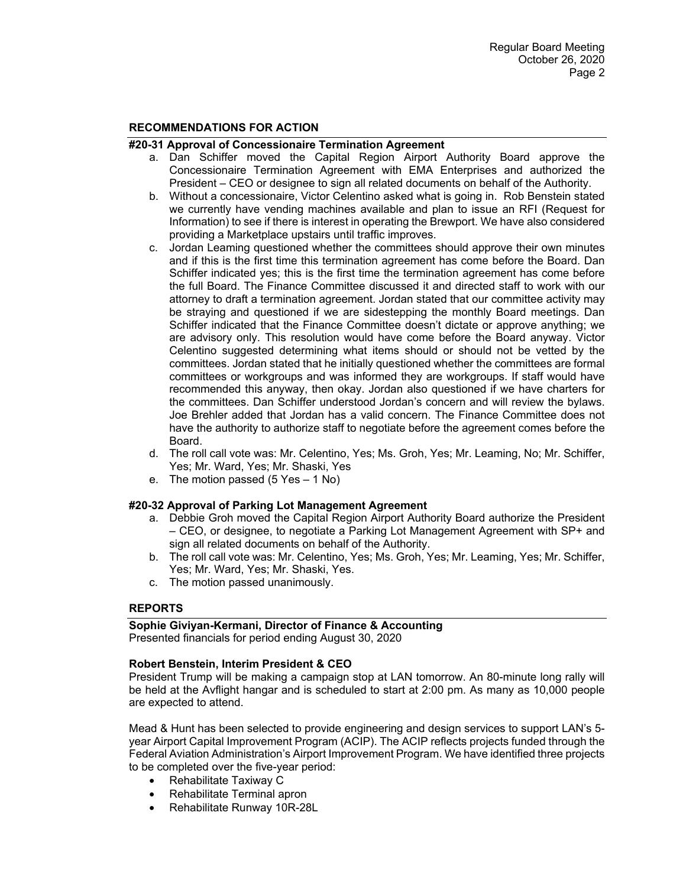#### **RECOMMENDATIONS FOR ACTION**

#### **#20-31 Approval of Concessionaire Termination Agreement**

- a. Dan Schiffer moved the Capital Region Airport Authority Board approve the Concessionaire Termination Agreement with EMA Enterprises and authorized the President – CEO or designee to sign all related documents on behalf of the Authority.
- b. Without a concessionaire, Victor Celentino asked what is going in. Rob Benstein stated we currently have vending machines available and plan to issue an RFI (Request for Information) to see if there is interest in operating the Brewport. We have also considered providing a Marketplace upstairs until traffic improves.
- c. Jordan Leaming questioned whether the committees should approve their own minutes and if this is the first time this termination agreement has come before the Board. Dan Schiffer indicated yes; this is the first time the termination agreement has come before the full Board. The Finance Committee discussed it and directed staff to work with our attorney to draft a termination agreement. Jordan stated that our committee activity may be straying and questioned if we are sidestepping the monthly Board meetings. Dan Schiffer indicated that the Finance Committee doesn't dictate or approve anything; we are advisory only. This resolution would have come before the Board anyway. Victor Celentino suggested determining what items should or should not be vetted by the committees. Jordan stated that he initially questioned whether the committees are formal committees or workgroups and was informed they are workgroups. If staff would have recommended this anyway, then okay. Jordan also questioned if we have charters for the committees. Dan Schiffer understood Jordan's concern and will review the bylaws. Joe Brehler added that Jordan has a valid concern. The Finance Committee does not have the authority to authorize staff to negotiate before the agreement comes before the Board.
- d. The roll call vote was: Mr. Celentino, Yes; Ms. Groh, Yes; Mr. Leaming, No; Mr. Schiffer, Yes; Mr. Ward, Yes; Mr. Shaski, Yes
- e. The motion passed (5 Yes 1 No)

#### **#20-32 Approval of Parking Lot Management Agreement**

- a. Debbie Groh moved the Capital Region Airport Authority Board authorize the President – CEO, or designee, to negotiate a Parking Lot Management Agreement with SP+ and sign all related documents on behalf of the Authority.
- b. The roll call vote was: Mr. Celentino, Yes; Ms. Groh, Yes; Mr. Leaming, Yes; Mr. Schiffer, Yes; Mr. Ward, Yes; Mr. Shaski, Yes.
- c. The motion passed unanimously.

#### **REPORTS**

#### **Sophie Giviyan-Kermani, Director of Finance & Accounting**

Presented financials for period ending August 30, 2020

#### **Robert Benstein, Interim President & CEO**

President Trump will be making a campaign stop at LAN tomorrow. An 80-minute long rally will be held at the Avflight hangar and is scheduled to start at 2:00 pm. As many as 10,000 people are expected to attend.

Mead & Hunt has been selected to provide engineering and design services to support LAN's 5 year Airport Capital Improvement Program (ACIP). The ACIP reflects projects funded through the Federal Aviation Administration's Airport Improvement Program. We have identified three projects to be completed over the five-year period:

- Rehabilitate Taxiway C
- Rehabilitate Terminal apron
- Rehabilitate Runway 10R-28L